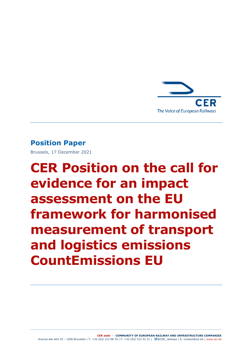

## **Position Paper**

Brussels, 17 December 2021

# **CER Position on the call for evidence for an impact assessment on the EU framework for harmonised measurement of transport and logistics emissions CountEmissions EU**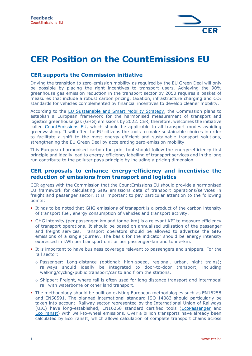

# **CER Position on the CountEmissions EU**

### **CER supports the Commission initiative**

Driving the transition to zero-emission mobility as required by the EU Green Deal will only be possible by placing the right incentives to transport users. Achieving the 90% greenhouse gas emission reduction in the transport sector by 2050 requires a basket of measures that include a robust carbon pricing, taxation, infrastructure charging and  $CO<sub>2</sub>$ standards for vehicles complemented by financial incentives to develop cleaner mobility.

According to the [EU Sustainable and Smart Mobility Strategy,](https://transport.ec.europa.eu/transport-themes/mobility-strategy_en) the Commission plans to establish a European framework for the harmonised measurement of transport and logistics greenhouse gas (GHG) emissions by 2022. CER, therefore, welcomes the initiative called [CountEmissions EU,](https://ec.europa.eu/info/law/better-regulation/have-your-say/initiatives/13217-Count-your-transport-emissions-%E2%80%98CountEmissions-EU%E2%80%99_en) which should be applicable to all transport modes avoiding greenwashing. It will offer the EU citizens the tools to make sustainable choices in order to facilitate a shift to the most energy efficient and sustainable transport solutions, strengthening the EU Green Deal by accelerating zero-emission mobility.

This European harmonised carbon footprint tool should follow the energy-efficiency first principle and ideally lead to energy-efficiency labelling of transport services and in the long run contribute to the polluter pays principle by including a pricing dimension.

#### **CER proposals to enhance energy-efficiency and incentivise the reduction of emissions from transport and logistics**

CER agrees with the Commission that the CountEmissions EU should provide a harmonised EU framework for calculating GHG emissions data of transport operations/services in freight and passenger sector. It is important to pay particular attention to the following points:

- **.** It has to be noted that GHG emissions of transport is a product of the carbon intensity of transport fuel, energy consumption of vehicles and transport activity.
- **GHG intensity (per passenger-km and tonne-km) is a relevant KPI to measure efficiency** of transport operations. It should be based on annualised utilisation of the passenger and freight services. Transport operators should be allowed to advertise the GHG emissions of a single journey. The basis for the indicator should be energy intensity expressed in kWh per transport unit or per passenger-km and tonne-km.
- **.** It is important to have business coverage relevant to passengers and shippers. For the rail sector:
	- o Passenger: Long-distance (optional: high-speed, regional, urban, night trains); railways should ideally be integrated to door-to-door transport, including walking/cycling/public transport/car to and from the stations.
	- o Shipper: Freight, where rail is often used for long distance transport and intermodal rail with waterborne or other land transport.
- The methodology should be built on existing European methodologies such as EN16258 and EN50591. The planned international standard ISO 14083 should particularly be taken into account. Railway sector represented by the International Union of Railways (UIC) have long-established, EN16258 standard certified tools [\(EcoPassenger](http://www.ecopassenger.org/) and [EcoTransIt\)](https://www.ecotransit.org/en/) with well-to-wheel emissions. Over a billion transports have already been calculated by EcoTransIt, which allows calculation of complete transport chains across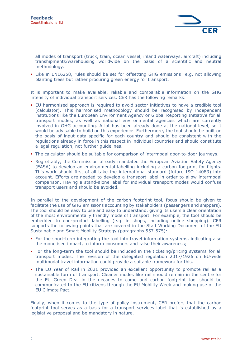

all modes of transport (truck, train, ocean vessel, inland waterways, aircraft) including transhipments/warehousing worldwide on the basis of a scientific and neutral methodology.

• Like in EN16258, rules should be set for offsetting GHG emissions: e.g. not allowing planting trees but rather procuring green energy for transport.

It is important to make available, reliable and comparable information on the GHG intensity of individual transport services. CER has the following remarks:

- EU harmonised approach is required to avoid sector initiatives to have a credible tool (calculator). This harmonised methodology should be recognised by independent institutions like the European Environment Agency or Global Reporting Initiative for all transport modes, as well as national environmental agencies which are currently involved in GHG accounting. A lot has been already done at the national level, so it would be advisable to build on this experience. Furthermore, the tool should be built on the basis of input data specific for each country and should be consistent with the regulations already in force in this respect in individual countries and should constitute a legal regulation, not further guidelines.
- The calculator should be suitable for comparison of intermodal door-to-door journeys.
- **Regrettably, the Commission already mandated the European Aviation Safety Agency** (EASA) to develop an environmental labelling including a carbon footprint for flights. This work should first of all take the international standard (future ISO 14083) into account. Efforts are needed to develop a transport label in order to allow intermodal comparison. Having a stand-alone label for individual transport modes would confuse transport users and should be avoided.

In parallel to the development of the carbon footprint tool, focus should be given to facilitate the use of GHG emissions accounting by stakeholders (passengers and shippers). The tool should be easy to use and easy to understand, giving its users a clear orientation of the most environmentally friendly mode of transport. For example, the tool should be embedded to end-product labelling (e.g. in shops, including online shopping). CER supports the following points that are covered in the Staff Working Document of the EU Sustainable and Smart Mobility Strategy (paragraphs 557-575):

- For the short-term integrating the tool into travel information systems, indicating also the monetised impact, to inform consumers and raise their awareness;
- For the long-term the tool should be included in the ticketing/pricing systems for all transport modes. The revision of the delegated regulation 2017/1926 on EU-wide multimodal travel information could provide a suitable framework for this.
- The EU Year of Rail in 2021 provided an excellent opportunity to promote rail as a sustainable form of transport. Cleaner modes like rail should remain in the centre for the EU Green Deal in the decades to come and carbon footprint tool should be communicated to the EU citizens through the EU Mobility Week and making use of the EU Climate Pact.

Finally, when it comes to the type of policy instrument, CER prefers that the carbon footprint tool serves as a basis for a transport services label that is established by a legislative proposal and be mandatory in nature.